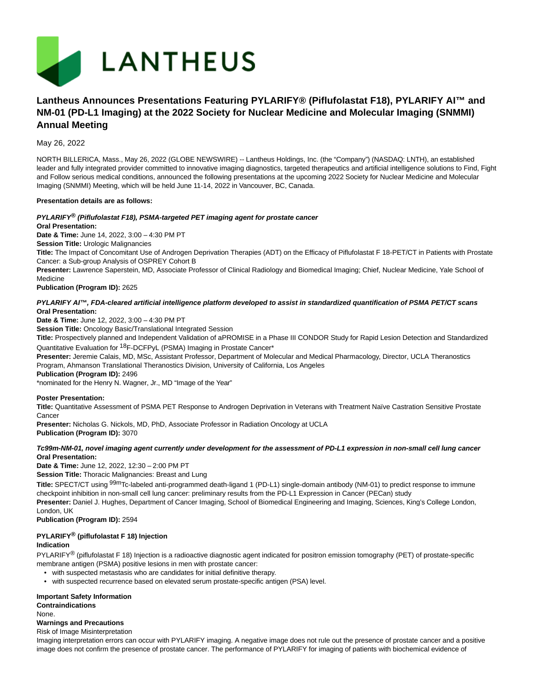

# **Lantheus Announces Presentations Featuring PYLARIFY® (Piflufolastat F18), PYLARIFY AI™ and NM-01 (PD-L1 Imaging) at the 2022 Society for Nuclear Medicine and Molecular Imaging (SNMMI) Annual Meeting**

May 26, 2022

NORTH BILLERICA, Mass., May 26, 2022 (GLOBE NEWSWIRE) -- Lantheus Holdings, Inc. (the "Company") (NASDAQ: LNTH), an established leader and fully integrated provider committed to innovative imaging diagnostics, targeted therapeutics and artificial intelligence solutions to Find, Fight and Follow serious medical conditions, announced the following presentations at the upcoming 2022 Society for Nuclear Medicine and Molecular Imaging (SNMMI) Meeting, which will be held June 11-14, 2022 in Vancouver, BC, Canada.

### **Presentation details are as follows:**

# **PYLARIFY® (Piflufolastat F18), PSMA-targeted PET imaging agent for prostate cancer**

**Oral Presentation:**

**Date & Time:** June 14, 2022, 3:00 – 4:30 PM PT

**Session Title:** Urologic Malignancies

**Title:** The Impact of Concomitant Use of Androgen Deprivation Therapies (ADT) on the Efficacy of Piflufolastat F 18-PET/CT in Patients with Prostate Cancer: a Sub-group Analysis of OSPREY Cohort B

**Presenter:** Lawrence Saperstein, MD, Associate Professor of Clinical Radiology and Biomedical Imaging; Chief, Nuclear Medicine, Yale School of Medicine

**Publication (Program ID):** 2625

**PYLARIFY AI™, FDA-cleared artificial intelligence platform developed to assist in standardized quantification of PSMA PET/CT scans Oral Presentation:**

**Date & Time:** June 12, 2022, 3:00 – 4:30 PM PT

**Session Title:** Oncology Basic/Translational Integrated Session

**Title:** Prospectively planned and Independent Validation of aPROMISE in a Phase III CONDOR Study for Rapid Lesion Detection and Standardized Quantitative Evaluation for 18F-DCFPyL (PSMA) Imaging in Prostate Cancer\*

**Presenter:** Jeremie Calais, MD, MSc, Assistant Professor, Department of Molecular and Medical Pharmacology, Director, UCLA Theranostics Program, Ahmanson Translational Theranostics Division, University of California, Los Angeles

**Publication (Program ID):** 2496

\*nominated for the Henry N. Wagner, Jr., MD "Image of the Year"

### **Poster Presentation:**

**Title:** Quantitative Assessment of PSMA PET Response to Androgen Deprivation in Veterans with Treatment Naïve Castration Sensitive Prostate Cancer

**Presenter:** Nicholas G. Nickols, MD, PhD, Associate Professor in Radiation Oncology at UCLA **Publication (Program ID):** 3070

### **Tc99m-NM-01, novel imaging agent currently under development for the assessment of PD-L1 expression in non-small cell lung cancer Oral Presentation:**

**Date & Time:** June 12, 2022, 12:30 – 2:00 PM PT

**Session Title:** Thoracic Malignancies: Breast and Lung

**Title:** SPECT/CT using 99mTc-labeled anti-programmed death-ligand 1 (PD-L1) single-domain antibody (NM-01) to predict response to immune checkpoint inhibition in non-small cell lung cancer: preliminary results from the PD-L1 Expression in Cancer (PECan) study **Presenter:** Daniel J. Hughes, Department of Cancer Imaging, School of Biomedical Engineering and Imaging, Sciences, King's College London,

London, UK

**Publication (Program ID):** 2594

### **PYLARIFY® (piflufolastat F 18) Injection**

### **Indication**

PYLARIFY<sup>®</sup> (piflufolastat F 18) Injection is a radioactive diagnostic agent indicated for positron emission tomography (PET) of prostate-specific membrane antigen (PSMA) positive lesions in men with prostate cancer:

- with suspected metastasis who are candidates for initial definitive therapy.
- with suspected recurrence based on elevated serum prostate-specific antigen (PSA) level.

# **Important Safety Information**

**Contraindications** None.

### **Warnings and Precautions**

Risk of Image Misinterpretation

Imaging interpretation errors can occur with PYLARIFY imaging. A negative image does not rule out the presence of prostate cancer and a positive image does not confirm the presence of prostate cancer. The performance of PYLARIFY for imaging of patients with biochemical evidence of